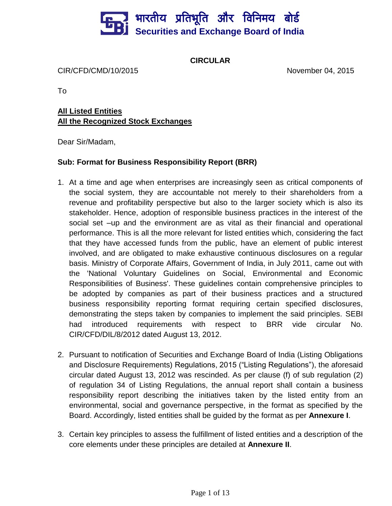# भारतीय प्रतिभूति और विनिमय बो**र्ड Securities and Exchange Board of India**

**CIRCULAR**

CIR/CFD/CMD/10/2015 November 04, 2015

To

# **All Listed Entities All the Recognized Stock Exchanges**

Dear Sir/Madam,

## **Sub: Format for Business Responsibility Report (BRR)**

- 1. At a time and age when enterprises are increasingly seen as critical components of the social system, they are accountable not merely to their shareholders from a revenue and profitability perspective but also to the larger society which is also its stakeholder. Hence, adoption of responsible business practices in the interest of the social set –up and the environment are as vital as their financial and operational performance. This is all the more relevant for listed entities which, considering the fact that they have accessed funds from the public, have an element of public interest involved, and are obligated to make exhaustive continuous disclosures on a regular basis. Ministry of Corporate Affairs, Government of India, in July 2011, came out with the 'National Voluntary Guidelines on Social, Environmental and Economic Responsibilities of Business'. These guidelines contain comprehensive principles to be adopted by companies as part of their business practices and a structured business responsibility reporting format requiring certain specified disclosures, demonstrating the steps taken by companies to implement the said principles. SEBI had introduced requirements with respect to BRR vide circular No. CIR/CFD/DIL/8/2012 dated August 13, 2012.
- 2. Pursuant to notification of Securities and Exchange Board of India (Listing Obligations and Disclosure Requirements) Regulations, 2015 ("Listing Regulations"), the aforesaid circular dated August 13, 2012 was rescinded. As per clause (f) of sub regulation (2) of regulation 34 of Listing Regulations, the annual report shall contain a business responsibility report describing the initiatives taken by the listed entity from an environmental, social and governance perspective, in the format as specified by the Board. Accordingly, listed entities shall be guided by the format as per **Annexure I**.
- 3. Certain key principles to assess the fulfillment of listed entities and a description of the core elements under these principles are detailed at **Annexure II**.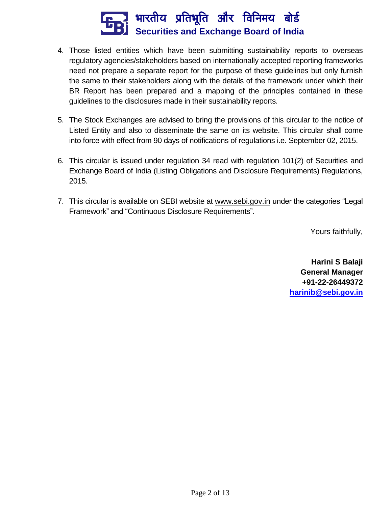

- 4. Those listed entities which have been submitting sustainability reports to overseas regulatory agencies/stakeholders based on internationally accepted reporting frameworks need not prepare a separate report for the purpose of these guidelines but only furnish the same to their stakeholders along with the details of the framework under which their BR Report has been prepared and a mapping of the principles contained in these guidelines to the disclosures made in their sustainability reports.
- 5. The Stock Exchanges are advised to bring the provisions of this circular to the notice of Listed Entity and also to disseminate the same on its website. This circular shall come into force with effect from 90 days of notifications of regulations i.e. September 02, 2015.
- 6. This circular is issued under regulation 34 read with regulation 101(2) of Securities and Exchange Board of India (Listing Obligations and Disclosure Requirements) Regulations, 2015.
- 7. This circular is available on SEBI website at [www.sebi.gov.in](http://www.sebi.gov.in/) under the categories "Legal Framework" and "Continuous Disclosure Requirements".

Yours faithfully,

**Harini S Balaji General Manager +91-22-26449372 [harinib@sebi.gov.in](mailto:harinib@sebi.gov.in)**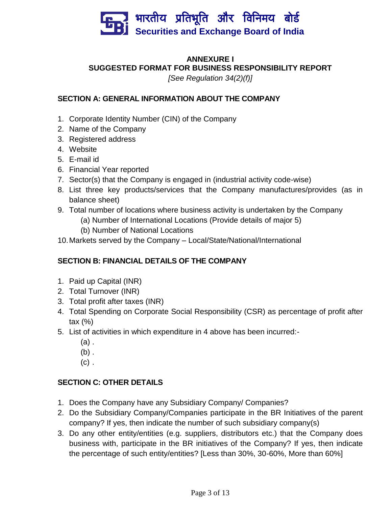

# **ANNEXURE I SUGGESTED FORMAT FOR BUSINESS RESPONSIBILITY REPORT**

*[See Regulation 34(2)(f)]*

## **SECTION A: GENERAL INFORMATION ABOUT THE COMPANY**

- 1. Corporate Identity Number (CIN) of the Company
- 2. Name of the Company
- 3. Registered address
- 4. Website
- 5. E-mail id
- 6. Financial Year reported
- 7. Sector(s) that the Company is engaged in (industrial activity code-wise)
- 8. List three key products/services that the Company manufactures/provides (as in balance sheet)
- 9. Total number of locations where business activity is undertaken by the Company
	- (a) Number of International Locations (Provide details of major 5)
	- (b) Number of National Locations
- 10.Markets served by the Company Local/State/National/International

# **SECTION B: FINANCIAL DETAILS OF THE COMPANY**

- 1. Paid up Capital (INR)
- 2. Total Turnover (INR)
- 3. Total profit after taxes (INR)
- 4. Total Spending on Corporate Social Responsibility (CSR) as percentage of profit after tax (%)
- 5. List of activities in which expenditure in 4 above has been incurred:-
	- (a) .
	- $(b)$ .
	- $(c)$ .

# **SECTION C: OTHER DETAILS**

- 1. Does the Company have any Subsidiary Company/ Companies?
- 2. Do the Subsidiary Company/Companies participate in the BR Initiatives of the parent company? If yes, then indicate the number of such subsidiary company(s)
- 3. Do any other entity/entities (e.g. suppliers, distributors etc.) that the Company does business with, participate in the BR initiatives of the Company? If yes, then indicate the percentage of such entity/entities? [Less than 30%, 30-60%, More than 60%]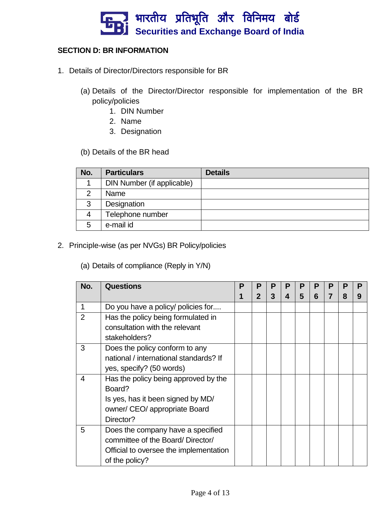

#### **SECTION D: BR INFORMATION**

- 1. Details of Director/Directors responsible for BR
	- (a) Details of the Director/Director responsible for implementation of the BR policy/policies
		- 1. DIN Number
		- 2. Name
		- 3. Designation
	- (b) Details of the BR head

| No. | <b>Particulars</b>         | <b>Details</b> |
|-----|----------------------------|----------------|
|     | DIN Number (if applicable) |                |
| າ   | Name                       |                |
| 3   | Designation                |                |
|     | Telephone number           |                |
| 5   | e-mail id                  |                |

- 2. Principle-wise (as per NVGs) BR Policy/policies
	- (a) Details of compliance (Reply in Y/N)

| No.            | <b>Questions</b>                       | P | P            | P | Р | P | P | Р |   | P |
|----------------|----------------------------------------|---|--------------|---|---|---|---|---|---|---|
|                |                                        |   | $\mathbf{2}$ | 3 | 4 | 5 | 6 |   | 8 | 9 |
| 1              | Do you have a policy/ policies for     |   |              |   |   |   |   |   |   |   |
| $\overline{2}$ | Has the policy being formulated in     |   |              |   |   |   |   |   |   |   |
|                | consultation with the relevant         |   |              |   |   |   |   |   |   |   |
|                | stakeholders?                          |   |              |   |   |   |   |   |   |   |
| 3              | Does the policy conform to any         |   |              |   |   |   |   |   |   |   |
|                | national / international standards? If |   |              |   |   |   |   |   |   |   |
|                | yes, specify? (50 words)               |   |              |   |   |   |   |   |   |   |
| 4              | Has the policy being approved by the   |   |              |   |   |   |   |   |   |   |
|                | Board?                                 |   |              |   |   |   |   |   |   |   |
|                | Is yes, has it been signed by MD/      |   |              |   |   |   |   |   |   |   |
|                | owner/ CEO/ appropriate Board          |   |              |   |   |   |   |   |   |   |
|                | Director?                              |   |              |   |   |   |   |   |   |   |
| 5              | Does the company have a specified      |   |              |   |   |   |   |   |   |   |
|                | committee of the Board/Director/       |   |              |   |   |   |   |   |   |   |
|                | Official to oversee the implementation |   |              |   |   |   |   |   |   |   |
|                | of the policy?                         |   |              |   |   |   |   |   |   |   |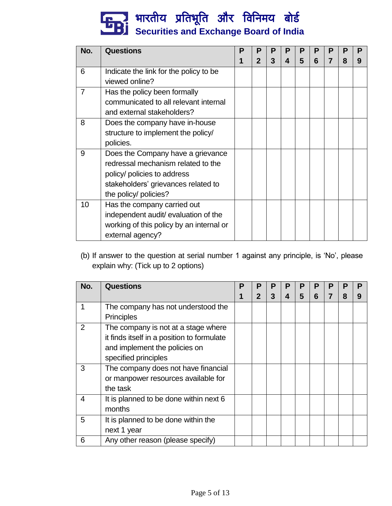# भारतीय प्रतिभूति और विनिमय बो**र्ड Securities and Exchange Board of India**

| No.            | <b>Questions</b>                         | Р | Р              | P | P | Р | Р | Р | Р | Р |
|----------------|------------------------------------------|---|----------------|---|---|---|---|---|---|---|
|                |                                          |   | $\overline{2}$ | 3 | 4 | 5 | 6 |   | 8 | 9 |
| 6              | Indicate the link for the policy to be   |   |                |   |   |   |   |   |   |   |
|                | viewed online?                           |   |                |   |   |   |   |   |   |   |
| $\overline{7}$ | Has the policy been formally             |   |                |   |   |   |   |   |   |   |
|                | communicated to all relevant internal    |   |                |   |   |   |   |   |   |   |
|                | and external stakeholders?               |   |                |   |   |   |   |   |   |   |
| 8              | Does the company have in-house           |   |                |   |   |   |   |   |   |   |
|                | structure to implement the policy/       |   |                |   |   |   |   |   |   |   |
|                | policies.                                |   |                |   |   |   |   |   |   |   |
| 9              | Does the Company have a grievance        |   |                |   |   |   |   |   |   |   |
|                | redressal mechanism related to the       |   |                |   |   |   |   |   |   |   |
|                | policy/ policies to address              |   |                |   |   |   |   |   |   |   |
|                | stakeholders' grievances related to      |   |                |   |   |   |   |   |   |   |
|                | the policy/ policies?                    |   |                |   |   |   |   |   |   |   |
| 10             | Has the company carried out              |   |                |   |   |   |   |   |   |   |
|                | independent audit/ evaluation of the     |   |                |   |   |   |   |   |   |   |
|                | working of this policy by an internal or |   |                |   |   |   |   |   |   |   |
|                | external agency?                         |   |                |   |   |   |   |   |   |   |

(b) If answer to the question at serial number 1 against any principle, is 'No', please explain why: (Tick up to 2 options)

| No. | <b>Questions</b>                           | Ρ | P                | P | P | P | P | Р | Р | P |
|-----|--------------------------------------------|---|------------------|---|---|---|---|---|---|---|
|     |                                            |   | $\boldsymbol{p}$ | 3 | 4 | 5 | 6 |   | 8 | 9 |
|     | The company has not understood the         |   |                  |   |   |   |   |   |   |   |
|     | <b>Principles</b>                          |   |                  |   |   |   |   |   |   |   |
| 2   | The company is not at a stage where        |   |                  |   |   |   |   |   |   |   |
|     | it finds itself in a position to formulate |   |                  |   |   |   |   |   |   |   |
|     | and implement the policies on              |   |                  |   |   |   |   |   |   |   |
|     | specified principles                       |   |                  |   |   |   |   |   |   |   |
| 3   | The company does not have financial        |   |                  |   |   |   |   |   |   |   |
|     | or manpower resources available for        |   |                  |   |   |   |   |   |   |   |
|     | the task                                   |   |                  |   |   |   |   |   |   |   |
| 4   | It is planned to be done within next 6     |   |                  |   |   |   |   |   |   |   |
|     | months                                     |   |                  |   |   |   |   |   |   |   |
| 5   | It is planned to be done within the        |   |                  |   |   |   |   |   |   |   |
|     | next 1 year                                |   |                  |   |   |   |   |   |   |   |
| 6   | Any other reason (please specify)          |   |                  |   |   |   |   |   |   |   |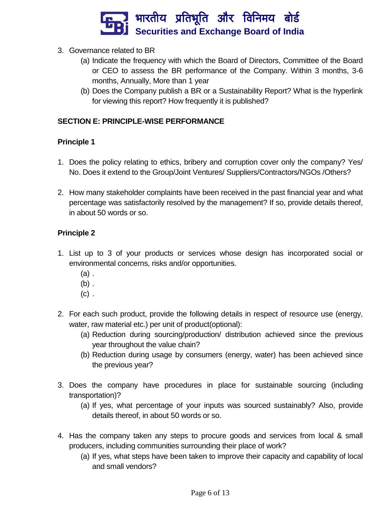

- 3. Governance related to BR
	- (a) Indicate the frequency with which the Board of Directors, Committee of the Board or CEO to assess the BR performance of the Company. Within 3 months, 3-6 months, Annually, More than 1 year
	- (b) Does the Company publish a BR or a Sustainability Report? What is the hyperlink for viewing this report? How frequently it is published?

## **SECTION E: PRINCIPLE-WISE PERFORMANCE**

## **Principle 1**

- 1. Does the policy relating to ethics, bribery and corruption cover only the company? Yes/ No. Does it extend to the Group/Joint Ventures/ Suppliers/Contractors/NGOs /Others?
- 2. How many stakeholder complaints have been received in the past financial year and what percentage was satisfactorily resolved by the management? If so, provide details thereof, in about 50 words or so.

- 1. List up to 3 of your products or services whose design has incorporated social or environmental concerns, risks and/or opportunities.
	- (a) .
	- $(b)$ .
	- $(c)$ .
- 2. For each such product, provide the following details in respect of resource use (energy, water, raw material etc.) per unit of product(optional):
	- (a) Reduction during sourcing/production/ distribution achieved since the previous year throughout the value chain?
	- (b) Reduction during usage by consumers (energy, water) has been achieved since the previous year?
- 3. Does the company have procedures in place for sustainable sourcing (including transportation)?
	- (a) If yes, what percentage of your inputs was sourced sustainably? Also, provide details thereof, in about 50 words or so.
- 4. Has the company taken any steps to procure goods and services from local & small producers, including communities surrounding their place of work?
	- (a) If yes, what steps have been taken to improve their capacity and capability of local and small vendors?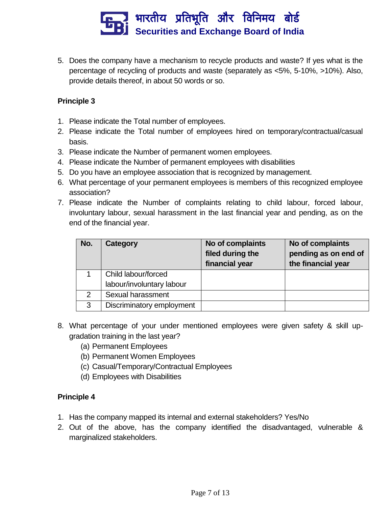

5. Does the company have a mechanism to recycle products and waste? If yes what is the percentage of recycling of products and waste (separately as <5%, 5-10%, >10%). Also, provide details thereof, in about 50 words or so.

#### **Principle 3**

- 1. Please indicate the Total number of employees.
- 2. Please indicate the Total number of employees hired on temporary/contractual/casual basis.
- 3. Please indicate the Number of permanent women employees.
- 4. Please indicate the Number of permanent employees with disabilities
- 5. Do you have an employee association that is recognized by management.
- 6. What percentage of your permanent employees is members of this recognized employee association?
- 7. Please indicate the Number of complaints relating to child labour, forced labour, involuntary labour, sexual harassment in the last financial year and pending, as on the end of the financial year.

| No. | Category                  | No of complaints<br>filed during the<br>financial year | No of complaints<br>pending as on end of<br>the financial year |
|-----|---------------------------|--------------------------------------------------------|----------------------------------------------------------------|
|     | Child labour/forced       |                                                        |                                                                |
|     | labour/involuntary labour |                                                        |                                                                |
| 2   | Sexual harassment         |                                                        |                                                                |
| 3   | Discriminatory employment |                                                        |                                                                |

- 8. What percentage of your under mentioned employees were given safety & skill upgradation training in the last year?
	- (a) Permanent Employees
	- (b) Permanent Women Employees
	- (c) Casual/Temporary/Contractual Employees
	- (d) Employees with Disabilities

- 1. Has the company mapped its internal and external stakeholders? Yes/No
- 2. Out of the above, has the company identified the disadvantaged, vulnerable & marginalized stakeholders.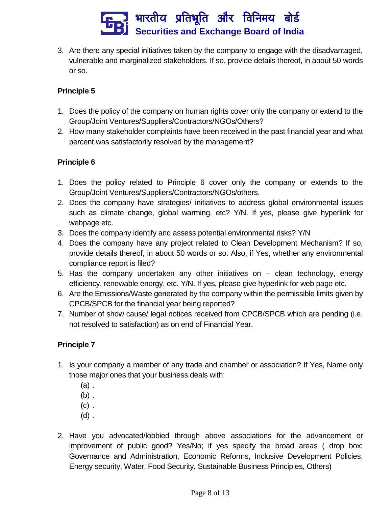

3. Are there any special initiatives taken by the company to engage with the disadvantaged, vulnerable and marginalized stakeholders. If so, provide details thereof, in about 50 words or so.

## **Principle 5**

- 1. Does the policy of the company on human rights cover only the company or extend to the Group/Joint Ventures/Suppliers/Contractors/NGOs/Others?
- 2. How many stakeholder complaints have been received in the past financial year and what percent was satisfactorily resolved by the management?

#### **Principle 6**

- 1. Does the policy related to Principle 6 cover only the company or extends to the Group/Joint Ventures/Suppliers/Contractors/NGOs/others.
- 2. Does the company have strategies/ initiatives to address global environmental issues such as climate change, global warming, etc? Y/N. If yes, please give hyperlink for webpage etc.
- 3. Does the company identify and assess potential environmental risks? Y/N
- 4. Does the company have any project related to Clean Development Mechanism? If so, provide details thereof, in about 50 words or so. Also, if Yes, whether any environmental compliance report is filed?
- 5. Has the company undertaken any other initiatives on clean technology, energy efficiency, renewable energy, etc. Y/N. If yes, please give hyperlink for web page etc.
- 6. Are the Emissions/Waste generated by the company within the permissible limits given by CPCB/SPCB for the financial year being reported?
- 7. Number of show cause/ legal notices received from CPCB/SPCB which are pending (i.e. not resolved to satisfaction) as on end of Financial Year.

- 1. Is your company a member of any trade and chamber or association? If Yes, Name only those major ones that your business deals with:
	- (a) .
	- (b) .
	- $(c)$ .
	- (d) .
- 2. Have you advocated/lobbied through above associations for the advancement or improvement of public good? Yes/No; if yes specify the broad areas ( drop box: Governance and Administration, Economic Reforms, Inclusive Development Policies, Energy security, Water, Food Security, Sustainable Business Principles, Others)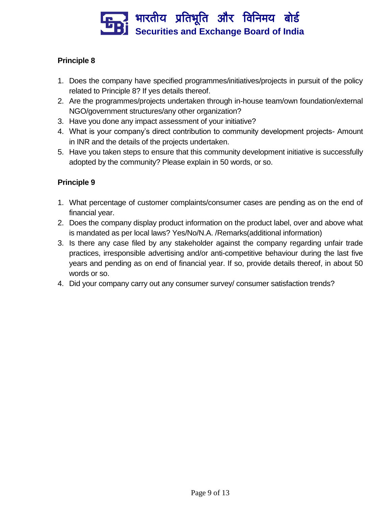

# **Principle 8**

- 1. Does the company have specified programmes/initiatives/projects in pursuit of the policy related to Principle 8? If yes details thereof.
- 2. Are the programmes/projects undertaken through in-house team/own foundation/external NGO/government structures/any other organization?
- 3. Have you done any impact assessment of your initiative?
- 4. What is your company's direct contribution to community development projects- Amount in INR and the details of the projects undertaken.
- 5. Have you taken steps to ensure that this community development initiative is successfully adopted by the community? Please explain in 50 words, or so.

- 1. What percentage of customer complaints/consumer cases are pending as on the end of financial year.
- 2. Does the company display product information on the product label, over and above what is mandated as per local laws? Yes/No/N.A. /Remarks(additional information)
- 3. Is there any case filed by any stakeholder against the company regarding unfair trade practices, irresponsible advertising and/or anti-competitive behaviour during the last five years and pending as on end of financial year. If so, provide details thereof, in about 50 words or so.
- 4. Did your company carry out any consumer survey/ consumer satisfaction trends?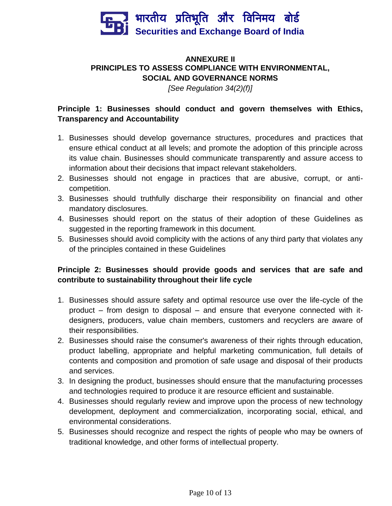

# **ANNEXURE II PRINCIPLES TO ASSESS COMPLIANCE WITH ENVIRONMENTAL, SOCIAL AND GOVERNANCE NORMS**

*[See Regulation 34(2)(f)]*

# **Principle 1: Businesses should conduct and govern themselves with Ethics, Transparency and Accountability**

- 1. Businesses should develop governance structures, procedures and practices that ensure ethical conduct at all levels; and promote the adoption of this principle across its value chain. Businesses should communicate transparently and assure access to information about their decisions that impact relevant stakeholders.
- 2. Businesses should not engage in practices that are abusive, corrupt, or anticompetition.
- 3. Businesses should truthfully discharge their responsibility on financial and other mandatory disclosures.
- 4. Businesses should report on the status of their adoption of these Guidelines as suggested in the reporting framework in this document.
- 5. Businesses should avoid complicity with the actions of any third party that violates any of the principles contained in these Guidelines

## **Principle 2: Businesses should provide goods and services that are safe and contribute to sustainability throughout their life cycle**

- 1. Businesses should assure safety and optimal resource use over the life-cycle of the product – from design to disposal – and ensure that everyone connected with itdesigners, producers, value chain members, customers and recyclers are aware of their responsibilities.
- 2. Businesses should raise the consumer's awareness of their rights through education, product labelling, appropriate and helpful marketing communication, full details of contents and composition and promotion of safe usage and disposal of their products and services.
- 3. In designing the product, businesses should ensure that the manufacturing processes and technologies required to produce it are resource efficient and sustainable.
- 4. Businesses should regularly review and improve upon the process of new technology development, deployment and commercialization, incorporating social, ethical, and environmental considerations.
- 5. Businesses should recognize and respect the rights of people who may be owners of traditional knowledge, and other forms of intellectual property.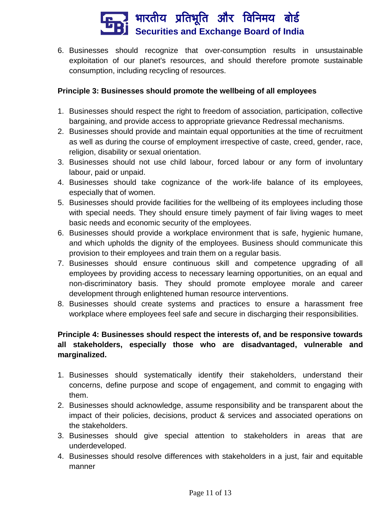

6. Businesses should recognize that over-consumption results in unsustainable exploitation of our planet's resources, and should therefore promote sustainable consumption, including recycling of resources.

#### **Principle 3: Businesses should promote the wellbeing of all employees**

- 1. Businesses should respect the right to freedom of association, participation, collective bargaining, and provide access to appropriate grievance Redressal mechanisms.
- 2. Businesses should provide and maintain equal opportunities at the time of recruitment as well as during the course of employment irrespective of caste, creed, gender, race, religion, disability or sexual orientation.
- 3. Businesses should not use child labour, forced labour or any form of involuntary labour, paid or unpaid.
- 4. Businesses should take cognizance of the work-life balance of its employees, especially that of women.
- 5. Businesses should provide facilities for the wellbeing of its employees including those with special needs. They should ensure timely payment of fair living wages to meet basic needs and economic security of the employees.
- 6. Businesses should provide a workplace environment that is safe, hygienic humane, and which upholds the dignity of the employees. Business should communicate this provision to their employees and train them on a regular basis.
- 7. Businesses should ensure continuous skill and competence upgrading of all employees by providing access to necessary learning opportunities, on an equal and non-discriminatory basis. They should promote employee morale and career development through enlightened human resource interventions.
- 8. Businesses should create systems and practices to ensure a harassment free workplace where employees feel safe and secure in discharging their responsibilities.

# **Principle 4: Businesses should respect the interests of, and be responsive towards all stakeholders, especially those who are disadvantaged, vulnerable and marginalized.**

- 1. Businesses should systematically identify their stakeholders, understand their concerns, define purpose and scope of engagement, and commit to engaging with them.
- 2. Businesses should acknowledge, assume responsibility and be transparent about the impact of their policies, decisions, product & services and associated operations on the stakeholders.
- 3. Businesses should give special attention to stakeholders in areas that are underdeveloped.
- 4. Businesses should resolve differences with stakeholders in a just, fair and equitable manner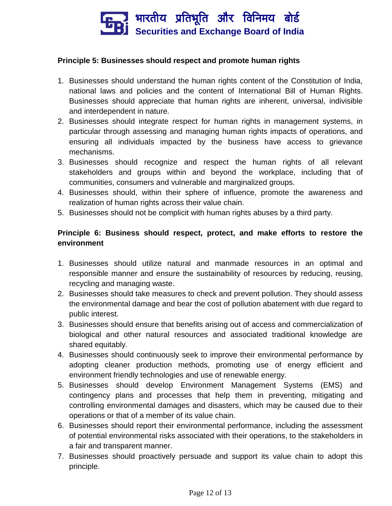

#### **Principle 5: Businesses should respect and promote human rights**

- 1. Businesses should understand the human rights content of the Constitution of India, national laws and policies and the content of International Bill of Human Rights. Businesses should appreciate that human rights are inherent, universal, indivisible and interdependent in nature.
- 2. Businesses should integrate respect for human rights in management systems, in particular through assessing and managing human rights impacts of operations, and ensuring all individuals impacted by the business have access to grievance mechanisms.
- 3. Businesses should recognize and respect the human rights of all relevant stakeholders and groups within and beyond the workplace, including that of communities, consumers and vulnerable and marginalized groups.
- 4. Businesses should, within their sphere of influence, promote the awareness and realization of human rights across their value chain.
- 5. Businesses should not be complicit with human rights abuses by a third party.

## **Principle 6: Business should respect, protect, and make efforts to restore the environment**

- 1. Businesses should utilize natural and manmade resources in an optimal and responsible manner and ensure the sustainability of resources by reducing, reusing, recycling and managing waste.
- 2. Businesses should take measures to check and prevent pollution. They should assess the environmental damage and bear the cost of pollution abatement with due regard to public interest.
- 3. Businesses should ensure that benefits arising out of access and commercialization of biological and other natural resources and associated traditional knowledge are shared equitably.
- 4. Businesses should continuously seek to improve their environmental performance by adopting cleaner production methods, promoting use of energy efficient and environment friendly technologies and use of renewable energy.
- 5. Businesses should develop Environment Management Systems (EMS) and contingency plans and processes that help them in preventing, mitigating and controlling environmental damages and disasters, which may be caused due to their operations or that of a member of its value chain.
- 6. Businesses should report their environmental performance, including the assessment of potential environmental risks associated with their operations, to the stakeholders in a fair and transparent manner.
- 7. Businesses should proactively persuade and support its value chain to adopt this principle.